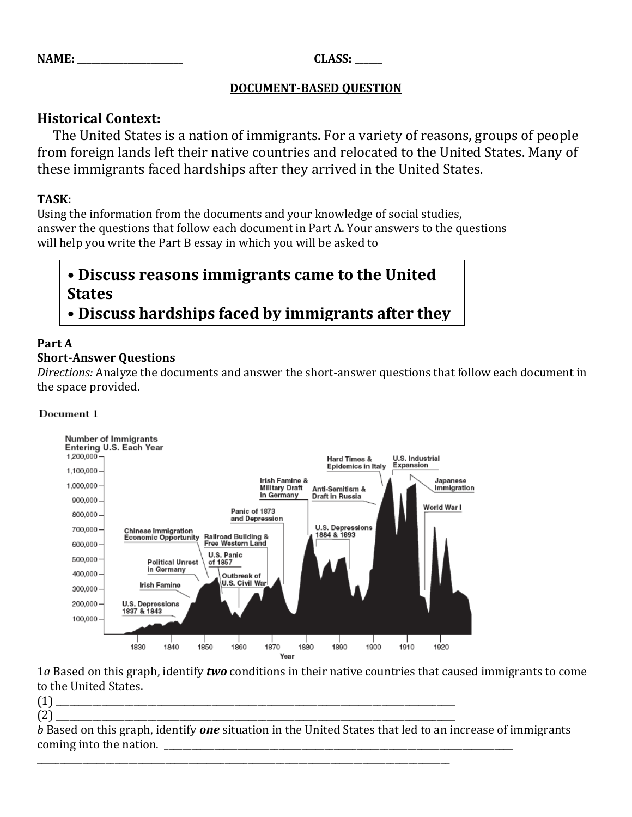| NAME |  |
|------|--|
|      |  |

**NAME: \_\_\_\_\_\_\_\_\_\_\_\_\_\_\_\_\_\_\_\_\_\_\_ CLASS: \_\_\_\_\_\_**

### **DOCUMENT-BASED QUESTION**

## **Historical Context:**

 The United States is a nation of immigrants. For a variety of reasons, groups of people from foreign lands left their native countries and relocated to the United States. Many of these immigrants faced hardships after they arrived in the United States.

### **TASK:**

Using the information from the documents and your knowledge of social studies, answer the questions that follow each document in Part A. Your answers to the questions will help you write the Part B essay in which you will be asked to

## **• Discuss reasons immigrants came to the United States • Discuss hardships faced by immigrants after they**

#### **Part A arrived in the United States**

### **Short-Answer Questions**

*Directions:* Analyze the documents and answer the short-answer questions that follow each document in the space provided.

#### Document 1



1*a* Based on this graph, identify *two* conditions in their native countries that caused immigrants to come to the United States.

(1) \_\_\_\_\_\_\_\_\_\_\_\_\_\_\_\_\_\_\_\_\_\_\_\_\_\_\_\_\_\_\_\_\_\_\_\_\_\_\_\_\_\_\_\_\_\_\_\_\_\_\_\_\_\_\_\_\_\_\_\_\_\_\_\_\_\_\_\_\_\_\_\_\_\_\_\_\_\_\_\_\_\_\_\_\_\_\_

(2) \_\_\_\_\_\_\_\_\_\_\_\_\_\_\_\_\_\_\_\_\_\_\_\_\_\_\_\_\_\_\_\_\_\_\_\_\_\_\_\_\_\_\_\_\_\_\_\_\_\_\_\_\_\_\_\_\_\_\_\_\_\_\_\_\_\_\_\_\_\_\_\_\_\_\_\_\_\_\_\_\_\_\_\_\_\_\_ *b* Based on this graph, identify *one* situation in the United States that led to an increase of immigrants coming into the nation.

\_\_\_\_\_\_\_\_\_\_\_\_\_\_\_\_\_\_\_\_\_\_\_\_\_\_\_\_\_\_\_\_\_\_\_\_\_\_\_\_\_\_\_\_\_\_\_\_\_\_\_\_\_\_\_\_\_\_\_\_\_\_\_\_\_\_\_\_\_\_\_\_\_\_\_\_\_\_\_\_\_\_\_\_\_\_\_\_\_\_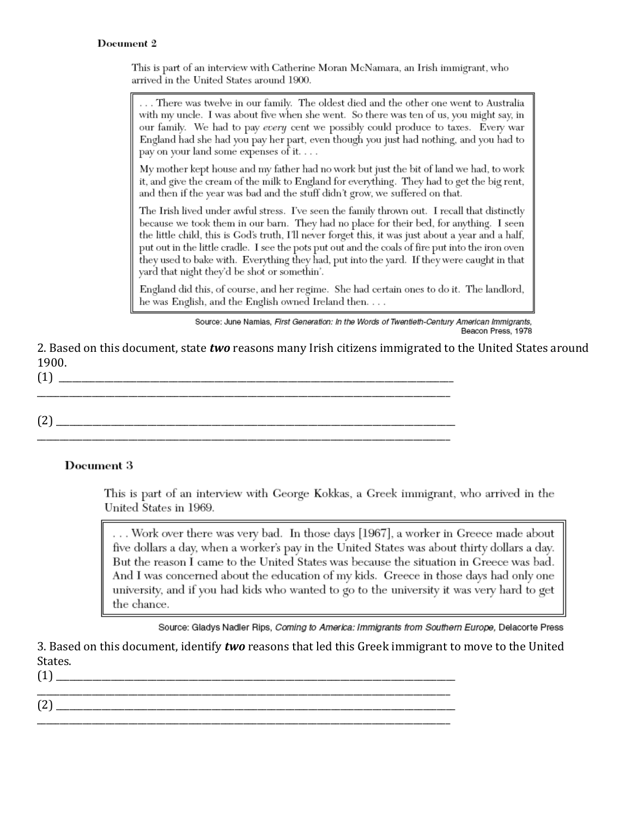#### Document 2

This is part of an interview with Catherine Moran McNamara, an Irish immigrant, who arrived in the United States around 1900.

... There was twelve in our family. The oldest died and the other one went to Australia with my uncle. I was about five when she went. So there was ten of us, you might say, in our family. We had to pay every cent we possibly could produce to taxes. Every war England had she had you pay her part, even though you just had nothing, and you had to pay on your land some expenses of it....

My mother kept house and my father had no work but just the bit of land we had, to work it, and give the cream of the milk to England for everything. They had to get the big rent, and then if the year was bad and the stuff didn't grow, we suffered on that.

The Irish lived under awful stress. I've seen the family thrown out. I recall that distinctly because we took them in our barn. They had no place for their bed, for anything. I seen the little child, this is God's truth, I'll never forget this, it was just about a year and a half, put out in the little cradle. I see the pots put out and the coals of fire put into the iron oven they used to bake with. Everything they had, put into the yard. If they were caught in that yard that night they'd be shot or somethin'.

England did this, of course, and her regime. She had certain ones to do it. The landlord, he was English, and the English owned Ireland then....

> Source: June Namias, First Generation: In the Words of Twentieth-Century American Immigrants. Beacon Press, 1978

2. Based on this document, state two reasons many Irish citizens immigrated to the United States around 1900.  $(1) \begin{tabular}{l} \hline \rule[1em]{1em}{1em} \rule[1em]{1em}{1em} \rule[1em]{1em}{1em} \rule[1em]{1em}{1em} \rule[1em]{1em}{1em} \rule[1em]{1em}{1em} \rule[1em]{1em}{1em} \rule[1em]{1em}{1em} \rule[1em]{1em}{1em} \rule[1em]{1em}{1em} \rule[1em]{1em}{1em} \rule[1em]{1em}{1em} \rule[1em]{1em}{1em} \rule[1em]{1em}{1em} \rule[1em]{1em}{1em} \rule[1em]{1em}{1em} \rule[1em]{1em}{1em} \rule$ 

 $(2)$ 

### Document 3

This is part of an interview with George Kokkas, a Greek immigrant, who arrived in the United States in 1969.

... Work over there was very bad. In those days [1967], a worker in Greece made about five dollars a day, when a worker's pay in the United States was about thirty dollars a day. But the reason I came to the United States was because the situation in Greece was bad. And I was concerned about the education of my kids. Greece in those days had only one university, and if you had kids who wanted to go to the university it was very hard to get the chance.

Source: Gladys Nadler Rips, Coming to America: Immigrants from Southern Europe, Delacorte Press

3. Based on this document, identify two reasons that led this Greek immigrant to move to the United States.  $(1)$ 

 $(2)$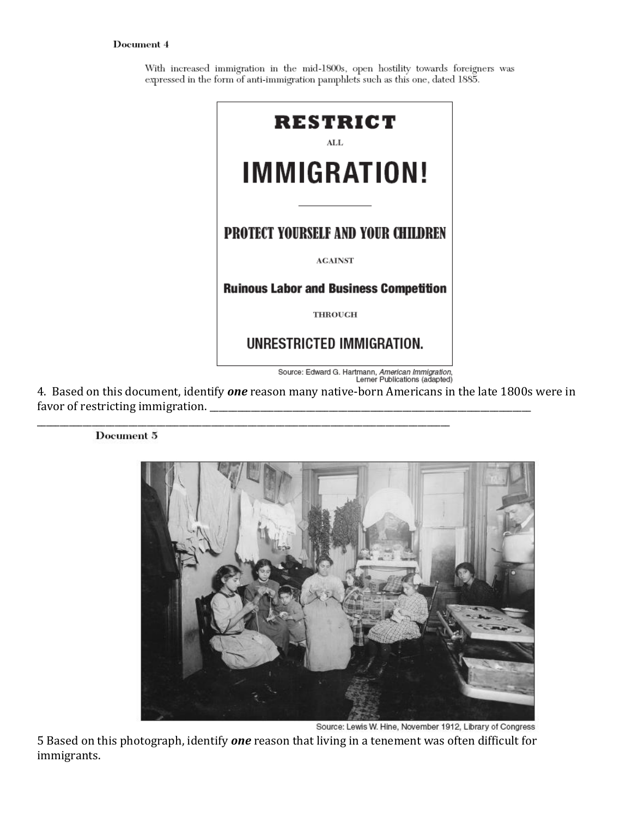#### Document 4

With increased immigration in the mid-1800s, open hostility towards foreigners was expressed in the form of anti-immigration pamphlets such as this one, dated 1885.



4. Based on this document, identify *one* reason many native-born Americans in the late 1800s were in favor of restricting immigration. \_\_\_\_\_\_\_\_\_\_\_\_\_\_\_\_\_\_\_\_\_\_\_\_\_\_\_\_\_\_\_\_\_\_\_\_\_\_\_\_\_\_\_\_\_\_\_\_\_\_\_\_\_\_\_\_\_\_\_\_\_\_\_\_\_\_\_\_\_\_

\_\_\_\_\_\_\_\_\_\_\_\_\_\_\_\_\_\_\_\_\_\_\_\_\_\_\_\_\_\_\_\_\_\_\_\_\_\_\_\_\_\_\_\_\_\_\_\_\_\_\_\_\_\_\_\_\_\_\_\_\_\_\_\_\_\_\_\_\_\_\_\_\_\_\_\_\_\_\_\_\_\_\_\_\_\_\_\_\_\_

#### Document 5



Source: Lewis W. Hine, November 1912, Library of Congress

5 Based on this photograph, identify *one* reason that living in a tenement was often difficult for immigrants.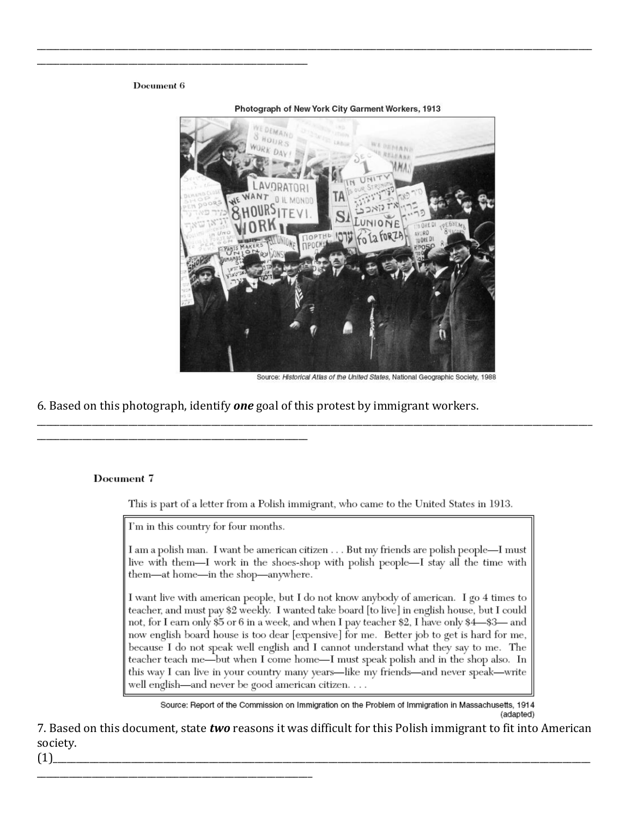#### Document 6



Photograph of New York City Garment Workers, 1913

Source: Historical Atlas of the United States, National Geographic Society, 1988

6. Based on this photograph, identify **one** goal of this protest by immigrant workers.

#### Document 7

This is part of a letter from a Polish immigrant, who came to the United States in 1913.

I'm in this country for four months.

I am a polish man. I want be american citizen . . . But my friends are polish people—I must live with them—I work in the shoes-shop with polish people—I stay all the time with them-at home-in the shop-anywhere.

I want live with american people, but I do not know anybody of american. I go 4 times to teacher, and must pay \$2 weekly. I wanted take board [to live] in english house, but I could not, for I earn only \$5 or 6 in a week, and when I pay teacher \$2, I have only \$4—\$3— and now english board house is too dear [expensive] for me. Better job to get is hard for me, because I do not speak well english and I cannot understand what they say to me. The teacher teach me—but when I come home—I must speak polish and in the shop also. In this way I can live in your country many years—like my friends—and never speak—write well english—and never be good american citizen....

Source: Report of the Commission on Immigration on the Problem of Immigration in Massachusetts, 1914 (adapted)

7. Based on this document, state two reasons it was difficult for this Polish immigrant to fit into American society.

 $(1)$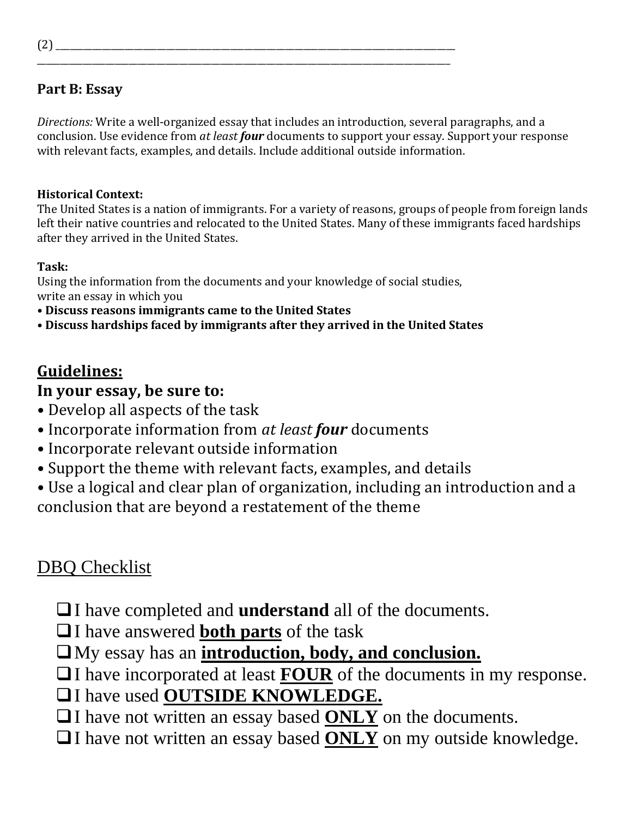## **Part B: Essay**

*Directions:* Write a well-organized essay that includes an introduction, several paragraphs, and a conclusion. Use evidence from *at least four* documents to support your essay. Support your response with relevant facts, examples, and details. Include additional outside information.

### **Historical Context:**

The United States is a nation of immigrants. For a variety of reasons, groups of people from foreign lands left their native countries and relocated to the United States. Many of these immigrants faced hardships after they arrived in the United States.

## **Task:**

Using the information from the documents and your knowledge of social studies, write an essay in which you

\_\_\_\_\_\_\_\_\_\_\_\_\_\_\_\_\_\_\_\_\_\_\_\_\_\_\_\_\_\_\_\_\_\_\_\_\_\_\_\_\_\_\_\_\_\_\_\_\_\_\_\_\_\_\_\_\_\_\_\_\_\_\_\_\_\_\_\_\_\_\_\_\_\_\_\_\_\_\_\_\_\_\_\_\_\_\_\_\_\_

- **Discuss reasons immigrants came to the United States**
- **Discuss hardships faced by immigrants after they arrived in the United States**

# **Guidelines:**

## **In your essay, be sure to:**

- Develop all aspects of the task
- Incorporate information from *at least four* documents
- Incorporate relevant outside information
- Support the theme with relevant facts, examples, and details
- Use a logical and clear plan of organization, including an introduction and a conclusion that are beyond a restatement of the theme

# DBQ Checklist

- I have completed and **understand** all of the documents.
- I have answered **both parts** of the task
- My essay has an **introduction, body, and conclusion.**
- □I have incorporated at least **FOUR** of the documents in my response.
- I have used **OUTSIDE KNOWLEDGE.**
- □I have not written an essay based **ONLY** on the documents.
- I have not written an essay based **ONLY** on my outside knowledge.

 $(2)$